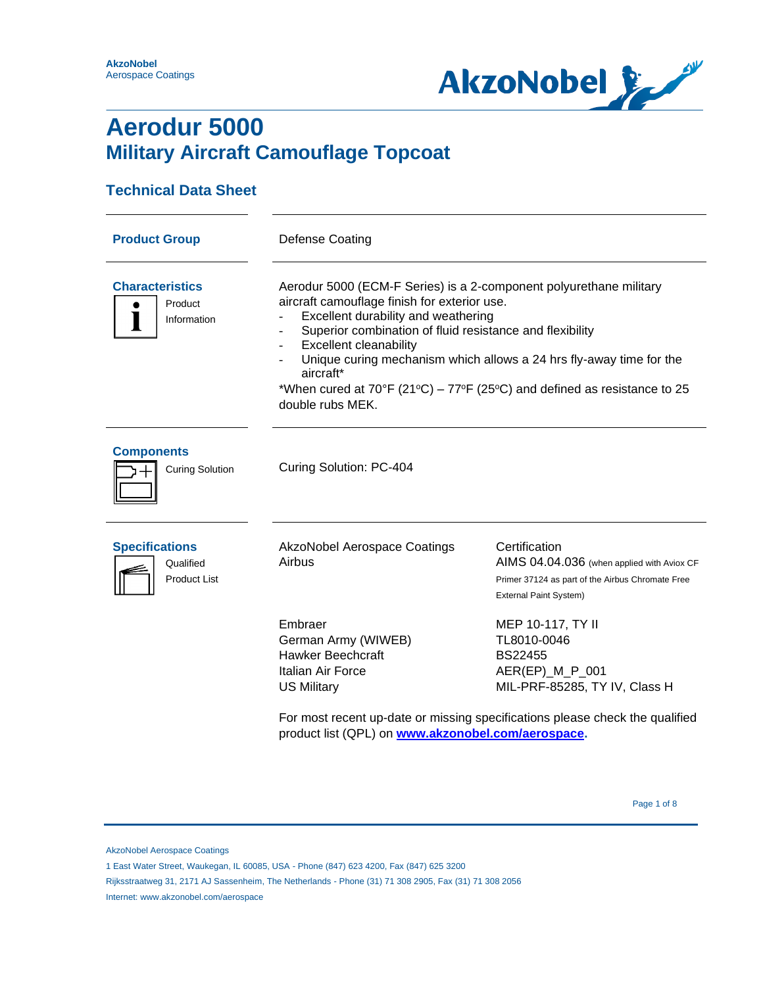**AkzoNobel** Aerospace Coatings



### **Aerodur 5000 Military Aircraft Camouflage Topcoat**

### **Technical Data Sheet**

| <b>Product Group</b>                                      | Defense Coating                                                                                                                                                                                                                                                                                                                                                                                                                            |                                                                                                                                                                                        |  |  |
|-----------------------------------------------------------|--------------------------------------------------------------------------------------------------------------------------------------------------------------------------------------------------------------------------------------------------------------------------------------------------------------------------------------------------------------------------------------------------------------------------------------------|----------------------------------------------------------------------------------------------------------------------------------------------------------------------------------------|--|--|
| <b>Characteristics</b><br>Product<br>Information          | Aerodur 5000 (ECM-F Series) is a 2-component polyurethane military<br>aircraft camouflage finish for exterior use.<br>Excellent durability and weathering<br>Superior combination of fluid resistance and flexibility<br><b>Excellent cleanability</b><br>Unique curing mechanism which allows a 24 hrs fly-away time for the<br>aircraft*<br>*When cured at 70°F (21°C) – 77°F (25°C) and defined as resistance to 25<br>double rubs MEK. |                                                                                                                                                                                        |  |  |
| <b>Components</b><br><b>Curing Solution</b>               | Curing Solution: PC-404                                                                                                                                                                                                                                                                                                                                                                                                                    |                                                                                                                                                                                        |  |  |
| <b>Specifications</b><br>Qualified<br><b>Product List</b> | <b>AkzoNobel Aerospace Coatings</b><br>Airbus                                                                                                                                                                                                                                                                                                                                                                                              | Certification<br>AIMS 04.04.036 (when applied with Aviox CF<br>Primer 37124 as part of the Airbus Chromate Free<br>External Paint System)                                              |  |  |
|                                                           | Embraer<br>German Army (WIWEB)<br><b>Hawker Beechcraft</b><br>Italian Air Force<br><b>US Military</b><br>product list (QPL) on www.akzonobel.com/aerospace.                                                                                                                                                                                                                                                                                | MEP 10-117, TY II<br>TL8010-0046<br><b>BS22455</b><br>AER(EP)_M_P_001<br>MIL-PRF-85285, TY IV, Class H<br>For most recent up-date or missing specifications please check the qualified |  |  |

Page 1 of 8 Page 1 of 8 Page 1 of 8 Page 1 of 8 Page 1 of 8

AkzoNobel Aerospace Coatings

<sup>1</sup> East Water Street, Waukegan, IL 60085, USA - Phone (847) 623 4200, Fax (847) 625 3200

Rijksstraatweg 31, 2171 AJ Sassenheim, The Netherlands - Phone (31) 71 308 2905, Fax (31) 71 308 2056

Internet: www.akzonobel.com/aerospace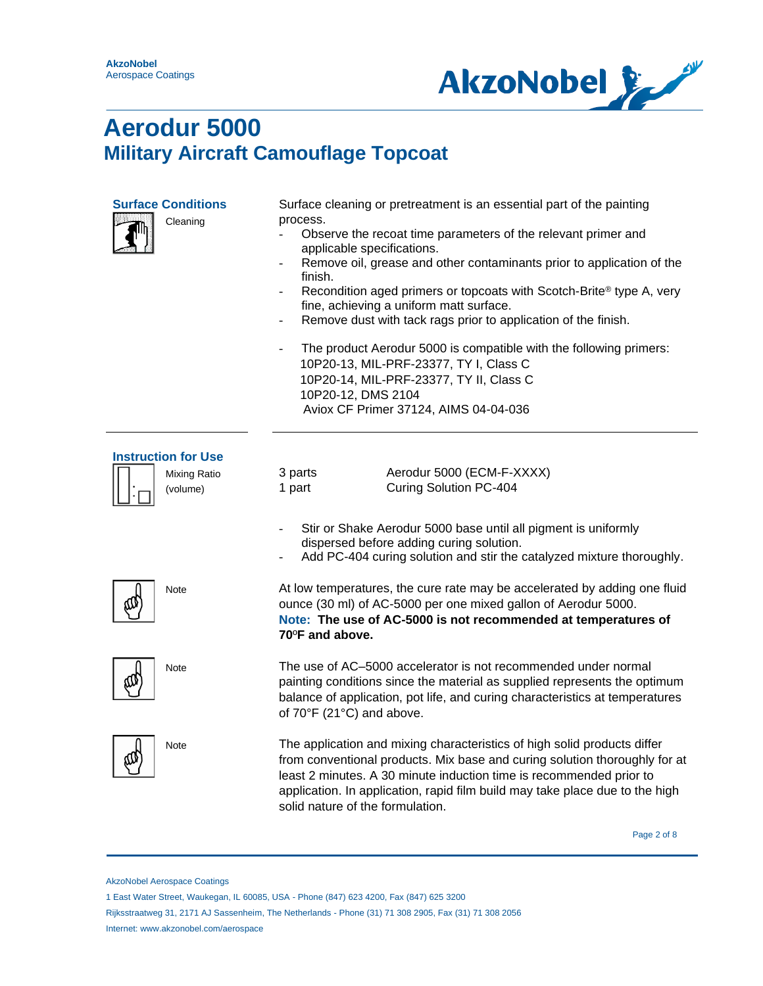$\overline{\phantom{0}}$ 



# **Aerodur 5000 Military Aircraft Camouflage Topcoat**

| <b>Surface Conditions</b><br>Cleaning                  | Surface cleaning or pretreatment is an essential part of the painting<br>process.<br>Observe the recoat time parameters of the relevant primer and<br>applicable specifications.<br>Remove oil, grease and other contaminants prior to application of the<br>finish.<br>Recondition aged primers or topcoats with Scotch-Brite® type A, very<br>$\blacksquare$<br>fine, achieving a uniform matt surface.<br>Remove dust with tack rags prior to application of the finish.<br>The product Aerodur 5000 is compatible with the following primers:<br>$\overline{\phantom{a}}$<br>10P20-13, MIL-PRF-23377, TY I, Class C<br>10P20-14, MIL-PRF-23377, TY II, Class C<br>10P20-12, DMS 2104<br>Aviox CF Primer 37124, AIMS 04-04-036 |  |
|--------------------------------------------------------|-----------------------------------------------------------------------------------------------------------------------------------------------------------------------------------------------------------------------------------------------------------------------------------------------------------------------------------------------------------------------------------------------------------------------------------------------------------------------------------------------------------------------------------------------------------------------------------------------------------------------------------------------------------------------------------------------------------------------------------|--|
| <b>Instruction for Use</b><br>Mixing Ratio<br>(volume) | Aerodur 5000 (ECM-F-XXXX)<br>3 parts<br>1 part<br>Curing Solution PC-404                                                                                                                                                                                                                                                                                                                                                                                                                                                                                                                                                                                                                                                          |  |
|                                                        | Stir or Shake Aerodur 5000 base until all pigment is uniformly<br>dispersed before adding curing solution.<br>Add PC-404 curing solution and stir the catalyzed mixture thoroughly.                                                                                                                                                                                                                                                                                                                                                                                                                                                                                                                                               |  |
| Note                                                   | At low temperatures, the cure rate may be accelerated by adding one fluid<br>ounce (30 ml) of AC-5000 per one mixed gallon of Aerodur 5000.<br>Note: The use of AC-5000 is not recommended at temperatures of<br>70°F and above.                                                                                                                                                                                                                                                                                                                                                                                                                                                                                                  |  |
| Note                                                   | The use of AC-5000 accelerator is not recommended under normal<br>painting conditions since the material as supplied represents the optimum<br>balance of application, pot life, and curing characteristics at temperatures<br>of 70°F (21°C) and above.                                                                                                                                                                                                                                                                                                                                                                                                                                                                          |  |
| Note                                                   | The application and mixing characteristics of high solid products differ<br>from conventional products. Mix base and curing solution thoroughly for at<br>least 2 minutes. A 30 minute induction time is recommended prior to<br>application. In application, rapid film build may take place due to the high<br>solid nature of the formulation.                                                                                                                                                                                                                                                                                                                                                                                 |  |

Page 2 of 8

AkzoNobel Aerospace Coatings

<sup>1</sup> East Water Street, Waukegan, IL 60085, USA - Phone (847) 623 4200, Fax (847) 625 3200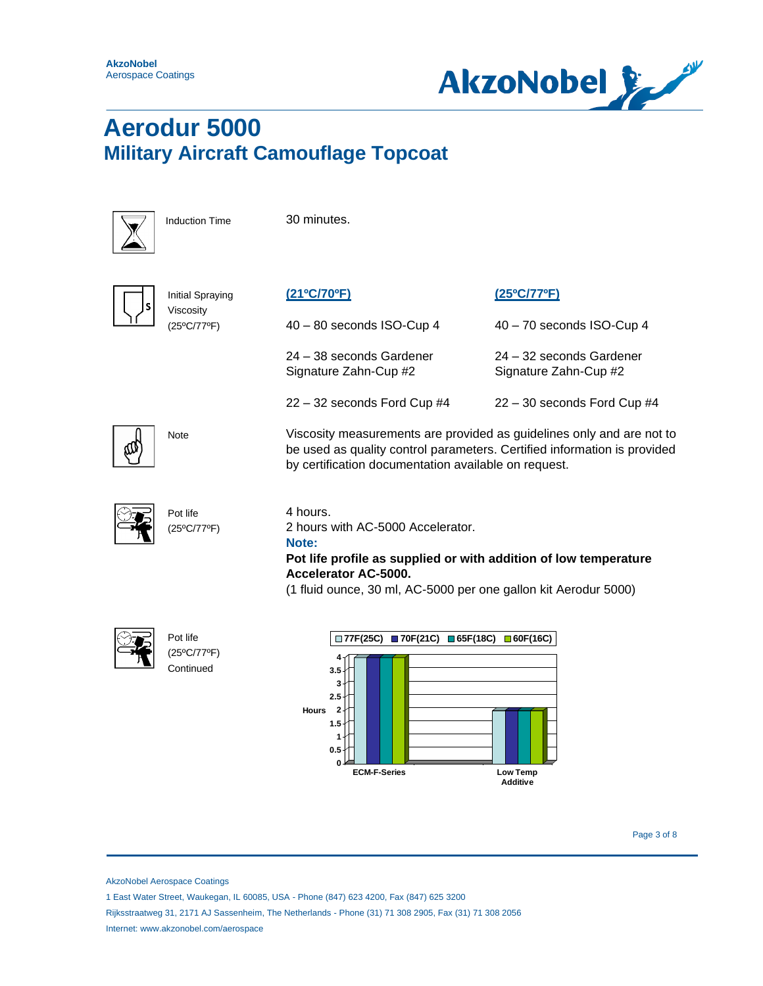



Induction Time 30 minutes.

Initial Spraying Viscosity (25ºC/77ºF)



**(21ºC/70ºF)**

24 – 38 seconds Gardener Signature Zahn-Cup #2

22 – 32 seconds Ford Cup #4



Note Viscosity measurements are provided as guidelines only and are not to be used as quality control parameters. Certified information is provided by certification documentation available on request.

**(25ºC/77ºF)**

40 – 70 seconds ISO-Cup 4

24 – 32 seconds Gardener Signature Zahn-Cup #2

22 – 30 seconds Ford Cup #4



4 hours.

2 hours with AC-5000 Accelerator.

#### **Note:**

### **Pot life profile as supplied or with addition of low temperature Accelerator AC-5000.**

(1 fluid ounce, 30 ml, AC-5000 per one gallon kit Aerodur 5000)



Pot life (25ºC/77ºF) **Continued** 



AkzoNobel Aerospace Coatings

1 East Water Street, Waukegan, IL 60085, USA - Phone (847) 623 4200, Fax (847) 625 3200

Rijksstraatweg 31, 2171 AJ Sassenheim, The Netherlands - Phone (31) 71 308 2905, Fax (31) 71 308 2056 Internet: www.akzonobel.com/aerospace

Page 3 of 8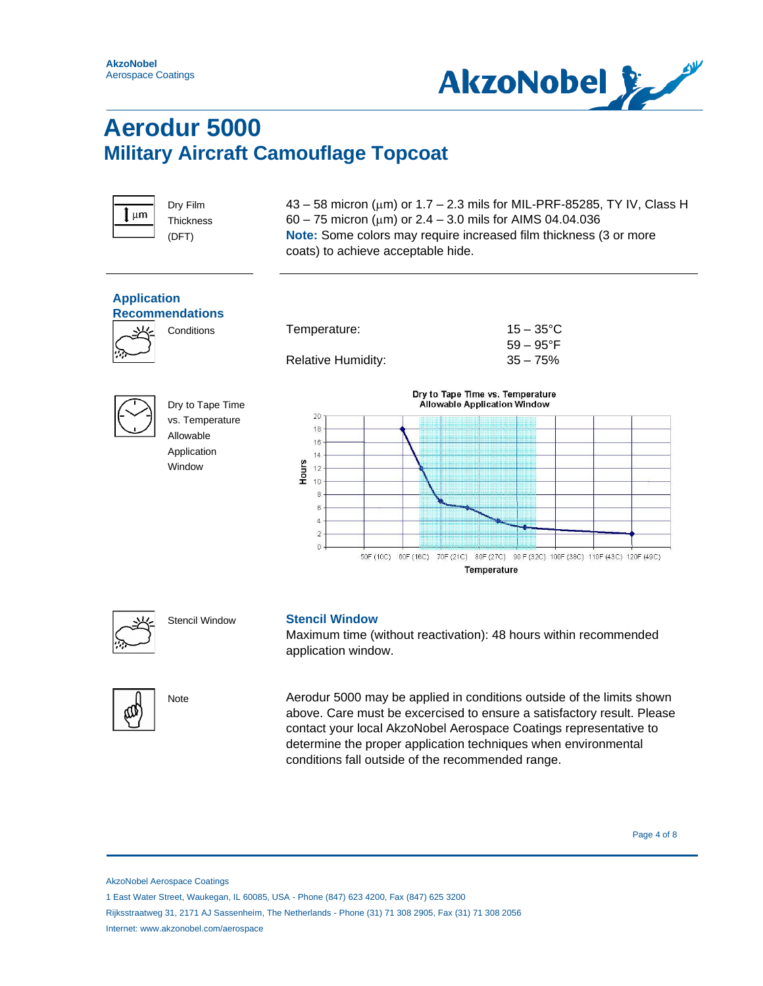



Dry Film **Thickness** (DFT)

 $43 - 58$  micron ( $\mu$ m) or 1.7 - 2.3 mils for MIL-PRF-85285, TY IV, Class H 60 – 75 micron ( $\mu$ m) or 2.4 – 3.0 mils for AIMS 04.04.036 **Note:** Some colors may require increased film thickness (3 or more coats) to achieve acceptable hide.





#### Stencil Window **Stencil Window**

Maximum time (without reactivation): 48 hours within recommended application window.



Note Aerodur 5000 may be applied in conditions outside of the limits shown above. Care must be excercised to ensure a satisfactory result. Please contact your local AkzoNobel Aerospace Coatings representative to determine the proper application techniques when environmental conditions fall outside of the recommended range.

Page 4 of 8

AkzoNobel Aerospace Coatings

<sup>1</sup> East Water Street, Waukegan, IL 60085, USA - Phone (847) 623 4200, Fax (847) 625 3200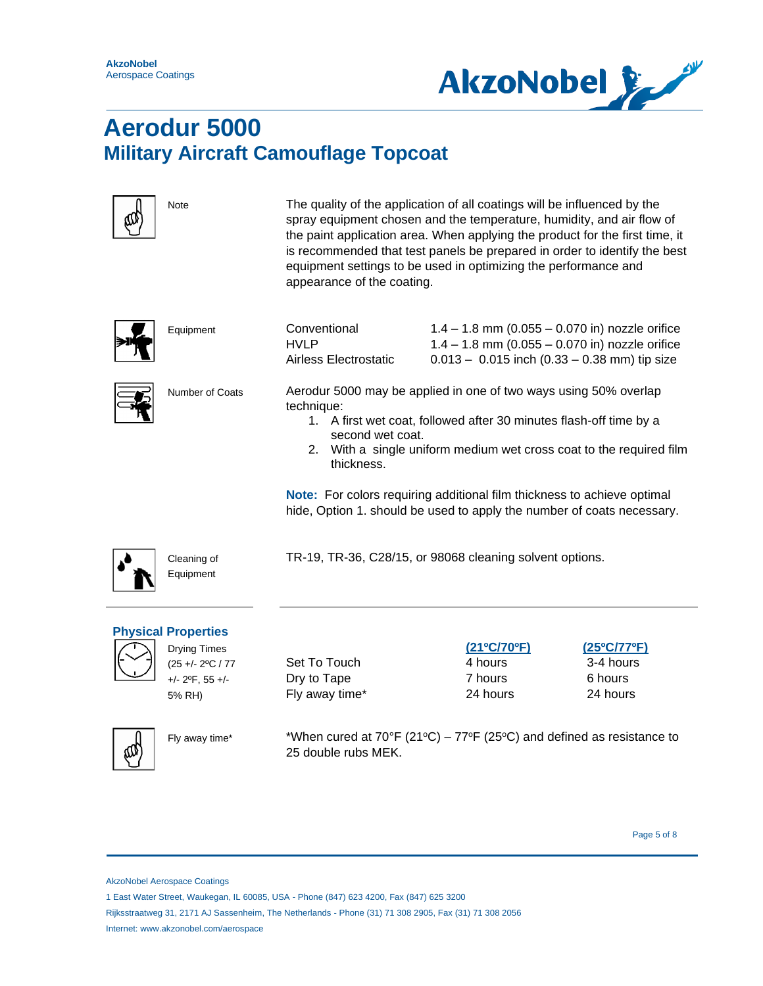

| Note                                                                                                                | The quality of the application of all coatings will be influenced by the<br>spray equipment chosen and the temperature, humidity, and air flow of<br>the paint application area. When applying the product for the first time, it<br>is recommended that test panels be prepared in order to identify the best<br>equipment settings to be used in optimizing the performance and<br>appearance of the coating. |                                                                                                                                                                                                                                                                                                                                                                    |                                                 |
|---------------------------------------------------------------------------------------------------------------------|-----------------------------------------------------------------------------------------------------------------------------------------------------------------------------------------------------------------------------------------------------------------------------------------------------------------------------------------------------------------------------------------------------------------|--------------------------------------------------------------------------------------------------------------------------------------------------------------------------------------------------------------------------------------------------------------------------------------------------------------------------------------------------------------------|-------------------------------------------------|
| Equipment                                                                                                           | Conventional<br><b>HVLP</b><br>Airless Electrostatic                                                                                                                                                                                                                                                                                                                                                            | $1.4 - 1.8$ mm (0.055 - 0.070 in) nozzle orifice<br>$1.4 - 1.8$ mm (0.055 - 0.070 in) nozzle orifice<br>$0.013 - 0.015$ inch (0.33 - 0.38 mm) tip size                                                                                                                                                                                                             |                                                 |
| Number of Coats                                                                                                     | technique:<br>second wet coat.<br>thickness.                                                                                                                                                                                                                                                                                                                                                                    | Aerodur 5000 may be applied in one of two ways using 50% overlap<br>1. A first wet coat, followed after 30 minutes flash-off time by a<br>2. With a single uniform medium wet cross coat to the required film<br>Note: For colors requiring additional film thickness to achieve optimal<br>hide, Option 1. should be used to apply the number of coats necessary. |                                                 |
| Cleaning of<br>Equipment                                                                                            |                                                                                                                                                                                                                                                                                                                                                                                                                 | TR-19, TR-36, C28/15, or 98068 cleaning solvent options.                                                                                                                                                                                                                                                                                                           |                                                 |
| <b>Physical Properties</b><br><b>Drying Times</b><br>(25 +/- 2°C / 77<br>$+/- 2$ <sup>o</sup> F, 55 $+/-$<br>5% RH) | Set To Touch<br>Dry to Tape<br>Fly away time*                                                                                                                                                                                                                                                                                                                                                                   | (21°C/70°F)<br>4 hours<br>7 hours<br>24 hours                                                                                                                                                                                                                                                                                                                      | (25°C/77°F)<br>3-4 hours<br>6 hours<br>24 hours |
| Fly away time*                                                                                                      | 25 double rubs MEK.                                                                                                                                                                                                                                                                                                                                                                                             | *When cured at $70^{\circ}F$ (21 $^{\circ}C$ ) – $77^{\circ}F$ (25 $^{\circ}C$ ) and defined as resistance to                                                                                                                                                                                                                                                      |                                                 |

Page 5 of 8

AkzoNobel Aerospace Coatings

<sup>1</sup> East Water Street, Waukegan, IL 60085, USA - Phone (847) 623 4200, Fax (847) 625 3200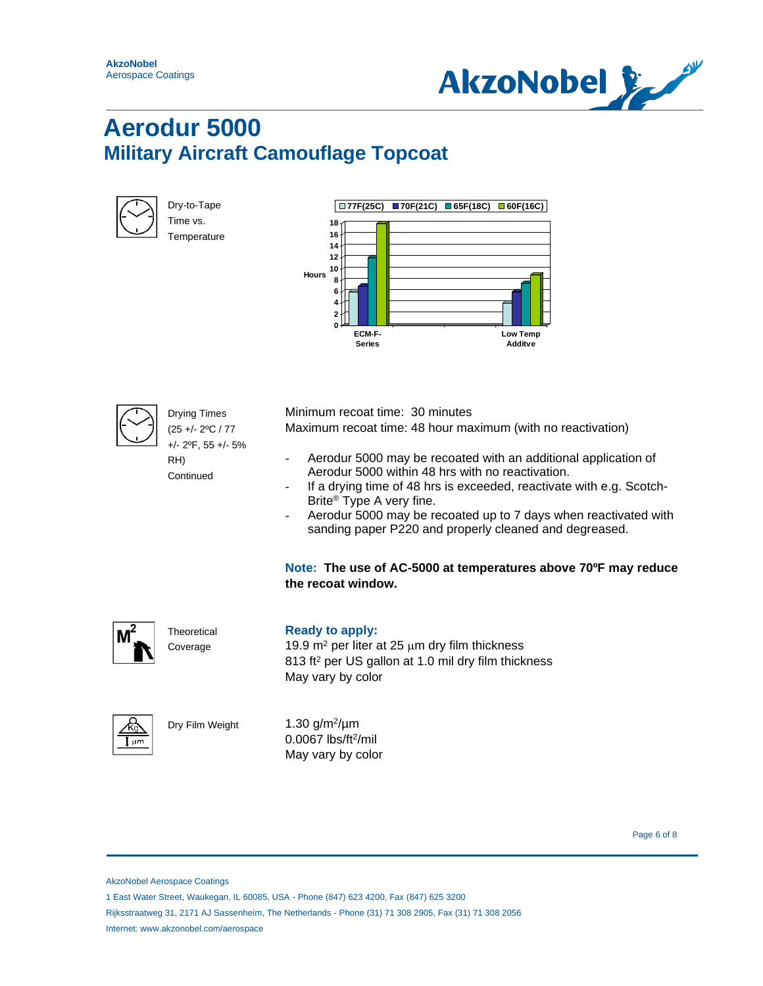



| Dry-to-Tape |
|-------------|
| Time vs.    |
| Temperature |

|              |                                                                  | $\Box$ 77F(25C) $\Box$ 70F(21C) $\Box$ 65F(18C) $\Box$ 60F(16C) |                                   |
|--------------|------------------------------------------------------------------|-----------------------------------------------------------------|-----------------------------------|
| <b>Hours</b> | 18<br>16<br>14<br>12<br>10<br>8<br>6<br>4<br>$\overline{2}$<br>0 |                                                                 |                                   |
|              | ECM-F-<br><b>Series</b>                                          |                                                                 | <b>Low Temp</b><br><b>Additve</b> |



Drying Times (25 +/- 2ºC / 77 +/- 2ºF, 55 +/- 5%

RH) **Continued** 

**Theoretical** Coverage

Dry Film Weight

Minimum recoat time: 30 minutes

Maximum recoat time: 48 hour maximum (with no reactivation)

- Aerodur 5000 may be recoated with an additional application of Aerodur 5000 within 48 hrs with no reactivation.
- If a drying time of 48 hrs is exceeded, reactivate with e.g. Scotch-Brite® Type A very fine.
- Aerodur 5000 may be recoated up to 7 days when reactivated with sanding paper P220 and properly cleaned and degreased.

**Note: The use of AC-5000 at temperatures above 70ºF may reduce the recoat window.**



### **Ready to apply:**

19.9  $m^2$  per liter at 25  $\mu$ m dry film thickness 813 ft<sup>2</sup> per US gallon at 1.0 mil dry film thickness May vary by color



1.30  $g/m^2/\mu m$ 0.0067 lbs/ft<sup>2</sup>/mil May vary by color

Page 6 of 8

AkzoNobel Aerospace Coatings

1 East Water Street, Waukegan, IL 60085, USA - Phone (847) 623 4200, Fax (847) 625 3200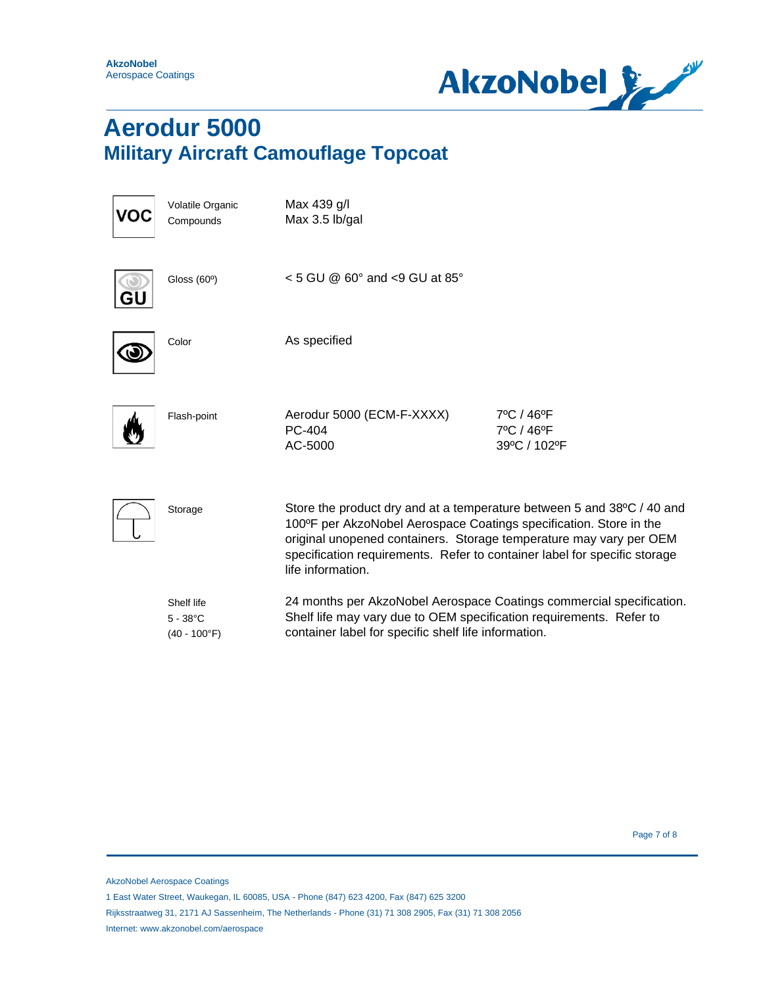**AkzoNobel** Aerospace Coatings



# **Aerodur 5000 Military Aircraft Camouflage Topcoat**

| VO | Volatile Organic<br>Compounds                       | Max 439 g/l<br>Max 3.5 lb/gal                                                                                                                                                                                                                                                                                        |                                          |
|----|-----------------------------------------------------|----------------------------------------------------------------------------------------------------------------------------------------------------------------------------------------------------------------------------------------------------------------------------------------------------------------------|------------------------------------------|
|    | Gloss (60°)                                         | $<$ 5 GU @ 60 $^{\circ}$ and $<$ 9 GU at 85 $^{\circ}$                                                                                                                                                                                                                                                               |                                          |
|    | Color                                               | As specified                                                                                                                                                                                                                                                                                                         |                                          |
|    | Flash-point                                         | Aerodur 5000 (ECM-F-XXXX)<br>PC-404<br>AC-5000                                                                                                                                                                                                                                                                       | 7°C / 46°F<br>7°C / 46°F<br>39°C / 102°F |
|    | Storage                                             | Store the product dry and at a temperature between 5 and 38°C / 40 and<br>100°F per AkzoNobel Aerospace Coatings specification. Store in the<br>original unopened containers. Storage temperature may vary per OEM<br>specification requirements. Refer to container label for specific storage<br>life information. |                                          |
|    | Shelf life<br>$5 - 38^{\circ}$ C<br>$(40 - 100$ °F) | 24 months per AkzoNobel Aerospace Coatings commercial specification.<br>Shelf life may vary due to OEM specification requirements. Refer to<br>container label for specific shelf life information.                                                                                                                  |                                          |

Page 7 of 8

1 East Water Street, Waukegan, IL 60085, USA - Phone (847) 623 4200, Fax (847) 625 3200

AkzoNobel Aerospace Coatings